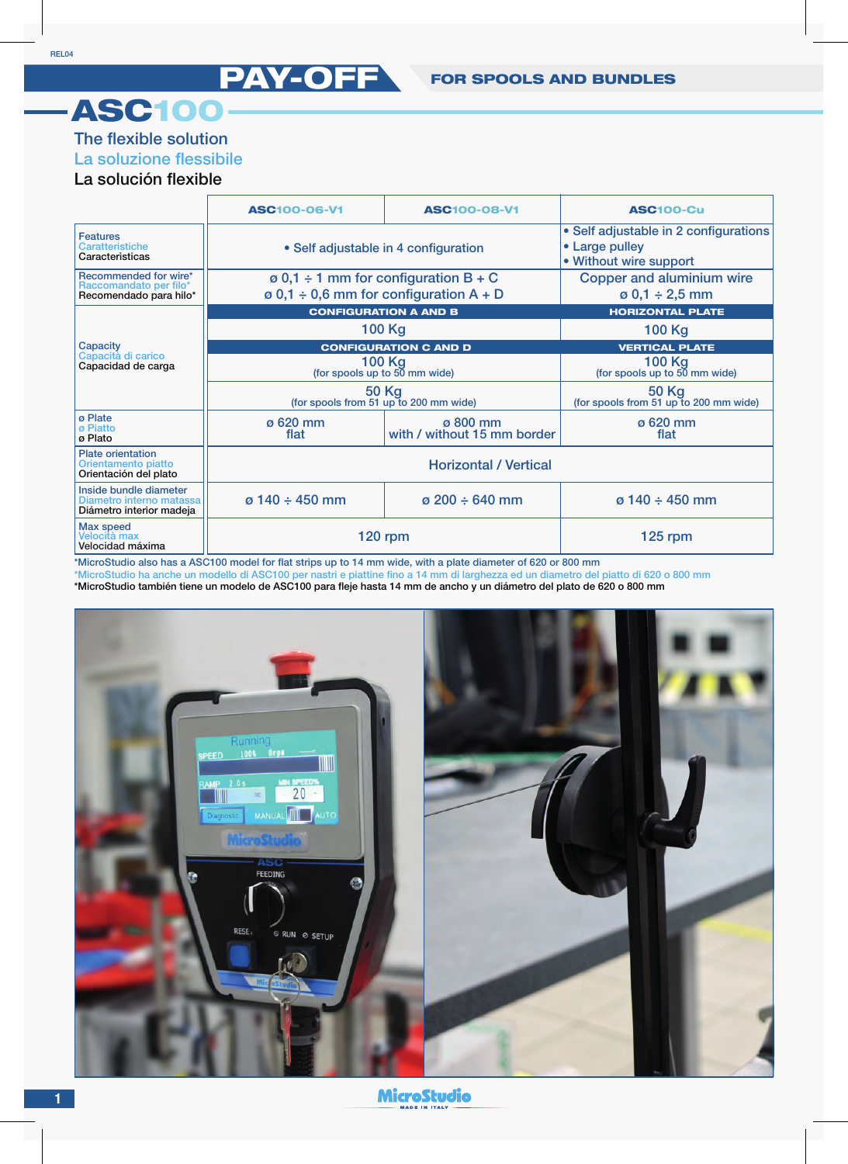## ASC100

## The flexible solution

## La soluzione flessibile

## La solución flexible

|                                                                                | <b>ASC100-06-V1</b>                                                                            | <b>ASC100-08-V1</b>                     | <b>ASC100-Cu</b>                                                                  |
|--------------------------------------------------------------------------------|------------------------------------------------------------------------------------------------|-----------------------------------------|-----------------------------------------------------------------------------------|
| <b>Features</b><br>Caratteristiche<br>Caracteristicas                          | • Self adjustable in 4 configuration                                                           |                                         | • Self adjustable in 2 configurations<br>• Large pulley<br>• Without wire support |
| Recommended for wire*<br>Raccomandato per filo*<br>Recomendado para hilo*      | $\varphi$ 0,1 ÷ 1 mm for configuration B + C<br>$\varphi$ 0,1 ÷ 0,6 mm for configuration A + D |                                         | Copper and aluminium wire<br>$\varnothing$ 0,1 ÷ 2,5 mm                           |
| Capacity<br>Capacità di carico<br>Capacidad de carga                           | <b>CONFIGURATION A AND B</b>                                                                   |                                         | <b>HORIZONTAL PLATE</b>                                                           |
|                                                                                | 100 Kg                                                                                         |                                         | 100 Kg                                                                            |
|                                                                                | <b>CONFIGURATION C AND D</b>                                                                   |                                         | <b>VERTICAL PLATE</b>                                                             |
|                                                                                | 100 Kg<br>(for spools up to 50 mm wide)                                                        |                                         | 100 Kg<br>(for spools up to 50 mm wide)                                           |
|                                                                                | <b>50 Kg</b><br>(for spools from 51 up to 200 mm wide)                                         |                                         | 50 Kg<br>(for spools from 51 up to 200 mm wide)                                   |
| ø Plate<br>ø Piatto<br>ø Plato                                                 | $\sigma$ 620 mm<br>flat                                                                        | ø 800 mm<br>with / without 15 mm border | $\sigma$ 620 mm<br>flat                                                           |
| <b>Plate orientation</b><br>Orientamento piatto<br>Orientación del plato       | <b>Horizontal / Vertical</b>                                                                   |                                         |                                                                                   |
| Inside bundle diameter<br>Diametro interno matassa<br>Diámetro interior madeja | $\sigma$ 140 ÷ 450 mm                                                                          | $\sigma$ 200 ÷ 640 mm                   | $\sigma$ 140 ÷ 450 mm                                                             |
| <b>Max speed</b><br>Velocità max<br>Velocidad máxima                           | <b>120 rpm</b>                                                                                 |                                         | $125$ rpm                                                                         |

\*MicroStudio also has a ASC100 model for flat strips up to 14 mm wide, with a plate diameter of 620 or 800 mm

\*MicroStudio ha anche un modello di ASC100 per nastri e piattine fino a 14 mm di larghezza ed un diametro del piatto di 620 o 800 mm

\*MicroStudio también tiene un modelo de ASC100 para fleje hasta 14 mm de ancho y un diámetro del plato de 620 o 800 mm